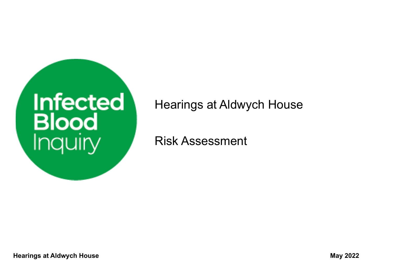

## Hearings at Aldwych House

Risk Assessment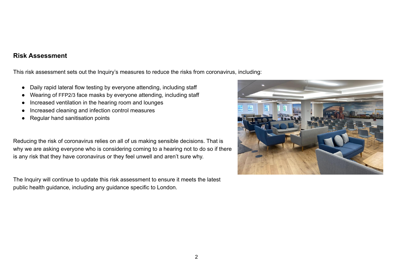## **Risk Assessment**

This risk assessment sets out the Inquiry's measures to reduce the risks from coronavirus, including:

- Daily rapid lateral flow testing by everyone attending, including staff
- Wearing of FFP2/3 face masks by everyone attending, including staff
- Increased ventilation in the hearing room and lounges
- Increased cleaning and infection control measures
- **Regular hand sanitisation points**

Reducing the risk of coronavirus relies on all of us making sensible decisions. That is why we are asking everyone who is considering coming to a hearing not to do so if there is any risk that they have coronavirus or they feel unwell and aren't sure why.

The Inquiry will continue to update this risk assessment to ensure it meets the latest public health guidance, including any guidance specific to London.

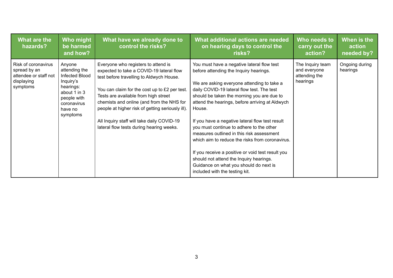| What are the<br>hazards?                                                               | Who might<br>be harmed<br>and how?                                                                                                       | What have we already done to<br>control the risks?                                                                                                                                                                                                                                                                                                                                                              | What additional actions are needed<br>on hearing days to control the<br>risks?                                                                                                                                                                                                                                                                                                                                                                                                                                                                                                                                                                                         | Who needs to<br>carry out the<br>action?                      | When is the<br>action<br>needed by? |
|----------------------------------------------------------------------------------------|------------------------------------------------------------------------------------------------------------------------------------------|-----------------------------------------------------------------------------------------------------------------------------------------------------------------------------------------------------------------------------------------------------------------------------------------------------------------------------------------------------------------------------------------------------------------|------------------------------------------------------------------------------------------------------------------------------------------------------------------------------------------------------------------------------------------------------------------------------------------------------------------------------------------------------------------------------------------------------------------------------------------------------------------------------------------------------------------------------------------------------------------------------------------------------------------------------------------------------------------------|---------------------------------------------------------------|-------------------------------------|
| Risk of coronavirus<br>spread by an<br>attendee or staff not<br>displaying<br>symptoms | Anyone<br>attending the<br>Infected Blood<br>Inquiry's<br>hearings:<br>about 1 in 3<br>people with<br>coronavirus<br>have no<br>symptoms | Everyone who registers to attend is<br>expected to take a COVID-19 lateral flow<br>test before travelling to Aldwych House.<br>You can claim for the cost up to £2 per test.<br>Tests are available from high street<br>chemists and online (and from the NHS for<br>people at higher risk of getting seriously ill).<br>All Inquiry staff will take daily COVID-19<br>lateral flow tests during hearing weeks. | You must have a negative lateral flow test<br>before attending the Inquiry hearings.<br>We are asking everyone attending to take a<br>daily COVID-19 lateral flow test. The test<br>should be taken the morning you are due to<br>attend the hearings, before arriving at Aldwych<br>House.<br>If you have a negative lateral flow test result<br>you must continue to adhere to the other<br>measures outlined in this risk assessment<br>which aim to reduce the risks from coronavirus.<br>If you receive a positive or void test result you<br>should not attend the Inquiry hearings.<br>Guidance on what you should do next is<br>included with the testing kit. | The Inquiry team<br>and everyone<br>attending the<br>hearings | Ongoing during<br>hearings          |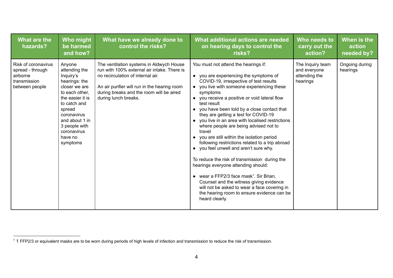| What are the<br>hazards?                                                              | <b>Who might</b><br>be harmed<br>and how?                                                                                                                                                                                      | What have we already done to<br>control the risks?                                                                                                                                                                                               | What additional actions are needed<br>on hearing days to control the<br>risks?                                                                                                                                                                                                                                                                                                                                                                                                                                                                                                                                                                                                                                                                                                                                                                                                                       | Who needs to<br>carry out the<br>action?                      | When is the<br>action<br>needed by? |
|---------------------------------------------------------------------------------------|--------------------------------------------------------------------------------------------------------------------------------------------------------------------------------------------------------------------------------|--------------------------------------------------------------------------------------------------------------------------------------------------------------------------------------------------------------------------------------------------|------------------------------------------------------------------------------------------------------------------------------------------------------------------------------------------------------------------------------------------------------------------------------------------------------------------------------------------------------------------------------------------------------------------------------------------------------------------------------------------------------------------------------------------------------------------------------------------------------------------------------------------------------------------------------------------------------------------------------------------------------------------------------------------------------------------------------------------------------------------------------------------------------|---------------------------------------------------------------|-------------------------------------|
| Risk of coronavirus<br>spread - through<br>airborne<br>transmission<br>between people | Anyone<br>attending the<br>Inquiry's<br>hearings: the<br>closer we are<br>to each other,<br>the easier it is<br>to catch and<br>spread<br>coronavirus<br>and about 1 in<br>3 people with<br>coronavirus<br>have no<br>symptoms | The ventilation systems in Aldwych House<br>run with 100% external air intake. There is<br>no recirculation of internal air.<br>An air purifier will run in the hearing room<br>during breaks and the room will be aired<br>during lunch breaks. | You must not attend the hearings if:<br>• you are experiencing the symptoms of<br>COVID-19, irrespective of test results<br>you live with someone experiencing these<br>symptoms<br>• you receive a positive or void lateral flow<br>test result<br>you have been told by a close contact that<br>they are getting a test for COVID-19<br>• you live in an area with localised restrictions<br>where people are being advised not to<br>travel<br>• you are still within the isolation period<br>following restrictions related to a trip abroad<br>• you feel unwell and aren't sure why.<br>To reduce the risk of transmission during the<br>hearings everyone attending should:<br>• wear a FFP2/3 face mask <sup>1</sup> . Sir Brian,<br>Counsel and the witness giving evidence<br>will not be asked to wear a face covering in<br>the hearing room to ensure evidence can be<br>heard clearly. | The Inquiry team<br>and everyone<br>attending the<br>hearings | Ongoing during<br>hearings          |

 $1$  1 FFP2/3 or equivalent masks are to be worn during periods of high levels of infection and transmission to reduce the risk of transmission.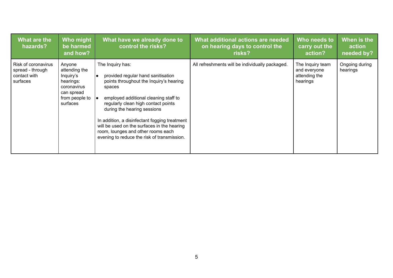| What are the<br>hazards?                                            | Who might<br>be harmed<br>and how?                                                                                       | What have we already done to<br>control the risks?                                                                                                                                                                                                                                                                                                                                                                    | What additional actions are needed<br>on hearing days to control the<br>risks? | Who needs to<br>carry out the<br>action?                      | When is the<br><u>l a</u> ction,<br>needed by? |
|---------------------------------------------------------------------|--------------------------------------------------------------------------------------------------------------------------|-----------------------------------------------------------------------------------------------------------------------------------------------------------------------------------------------------------------------------------------------------------------------------------------------------------------------------------------------------------------------------------------------------------------------|--------------------------------------------------------------------------------|---------------------------------------------------------------|------------------------------------------------|
| Risk of coronavirus<br>spread - through<br>contact with<br>surfaces | Anyone<br>attending the<br>Inquiry's<br>hearings:<br>coronavirus<br>can spread<br>from people to $  \cdot  $<br>surfaces | The Inquiry has:<br>provided regular hand sanitisation<br>I۰<br>points throughout the Inquiry's hearing<br>spaces<br>employed additional cleaning staff to<br>regularly clean high contact points<br>during the hearing sessions<br>In addition, a disinfectant fogging treatment<br>will be used on the surfaces in the hearing<br>room, lounges and other rooms each<br>evening to reduce the risk of transmission. | All refreshments will be individually packaged.                                | The Inquiry team<br>and everyone<br>attending the<br>hearings | Ongoing during<br>hearings                     |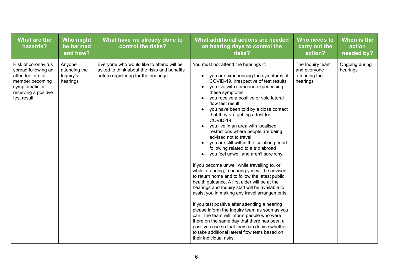| What are the<br>hazards?                                                                                                                     | Who might<br>be harmed<br>and how?               | What have we already done to<br>control the risks?                                                                               | What additional actions are needed<br>on hearing days to control the<br>risks?                                                                                                                                                                                                                                                                                                                                                                                                                                                                                                                                                                                                                                                                                                                                                                                                                                                                                                                                                                                                                                                                                                                                 | Who needs to<br>carry out the<br>action?                      | When is the<br>action<br>needed by? |
|----------------------------------------------------------------------------------------------------------------------------------------------|--------------------------------------------------|----------------------------------------------------------------------------------------------------------------------------------|----------------------------------------------------------------------------------------------------------------------------------------------------------------------------------------------------------------------------------------------------------------------------------------------------------------------------------------------------------------------------------------------------------------------------------------------------------------------------------------------------------------------------------------------------------------------------------------------------------------------------------------------------------------------------------------------------------------------------------------------------------------------------------------------------------------------------------------------------------------------------------------------------------------------------------------------------------------------------------------------------------------------------------------------------------------------------------------------------------------------------------------------------------------------------------------------------------------|---------------------------------------------------------------|-------------------------------------|
| Risk of coronavirus<br>spread following an<br>attendee or staff<br>member becoming<br>symptomatic or<br>receiving a positive<br>test result. | Anyone<br>attending the<br>Inquiry's<br>hearings | Everyone who would like to attend will be<br>asked to think about the risks and benefits<br>before registering for the hearings. | You must not attend the hearings if:<br>you are experiencing the symptoms of<br>COVID-19, irrespective of test results<br>you live with someone experiencing<br>these symptoms<br>• you receive a positive or void lateral<br>flow test result<br>you have been told by a close contact<br>that they are getting a test for<br>COVID-19<br>you live in an area with localised<br>restrictions where people are being<br>advised not to travel<br>you are still within the isolation period<br>following related to a trip abroad<br>you feel unwell and aren't sure why.<br>If you become unwell while travelling to, or<br>while attending, a hearing you will be advised<br>to return home and to follow the latest public<br>health guidance. A first aider will be at the<br>hearings and Inquiry staff will be available to<br>assist you in making any travel arrangements.<br>If you test positive after attending a hearing<br>please inform the Inquiry team as soon as you<br>can. The team will inform people who were<br>there on the same day that there has been a<br>positive case so that they can decide whether<br>to take additional lateral flow tests based on<br>their individual risks. | The Inquiry team<br>and everyone<br>attending the<br>hearings | Ongoing during<br>hearings          |